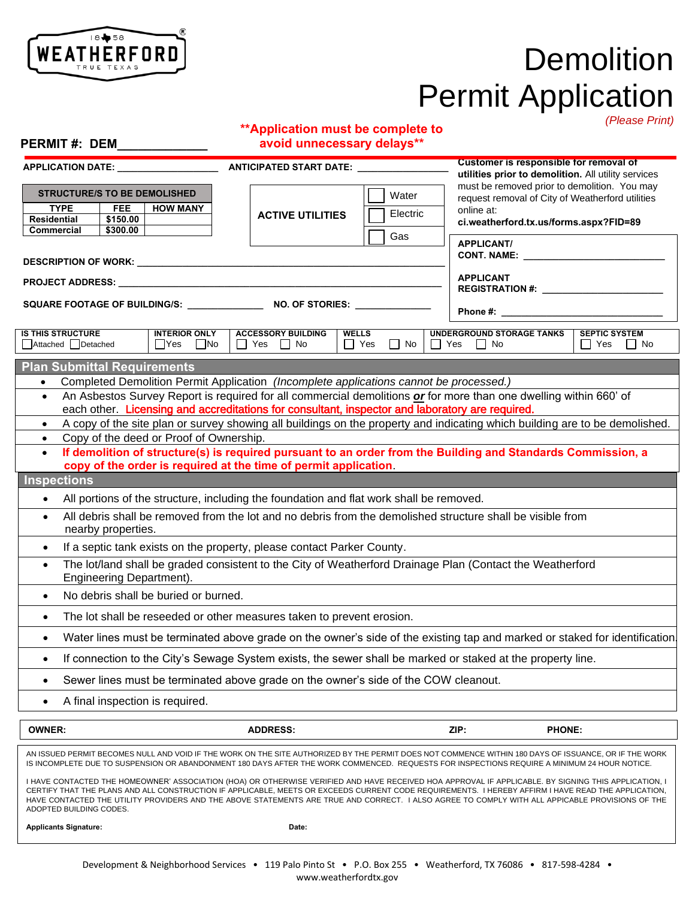

**PERMIT #: DEM\_\_\_\_\_\_\_\_\_\_\_\_\_**

# **Demolition** Permit Application

#### **\*\*Application must be complete to avoid unnecessary delays\*\***

*(Please Print)*

| LIVIIII $\pi$ . DLIVI                                                                                                                                                                                                                                                                                                                                                                                                                                                                     | <u>volu umnocessar y uchays</u>                                                     |                                                                                                      |                                                                                                                                                                                                                                |                                                  |
|-------------------------------------------------------------------------------------------------------------------------------------------------------------------------------------------------------------------------------------------------------------------------------------------------------------------------------------------------------------------------------------------------------------------------------------------------------------------------------------------|-------------------------------------------------------------------------------------|------------------------------------------------------------------------------------------------------|--------------------------------------------------------------------------------------------------------------------------------------------------------------------------------------------------------------------------------|--------------------------------------------------|
| APPLICATION DATE: ____<br><b>ANTICIPATED START DATE:</b>                                                                                                                                                                                                                                                                                                                                                                                                                                  |                                                                                     | <b>Customer is responsible for removal of</b><br>utilities prior to demolition. All utility services |                                                                                                                                                                                                                                |                                                  |
| <b>STRUCTURE/S TO BE DEMOLISHED</b><br><b>TYPE</b><br><b>FEE</b><br><b>HOW MANY</b><br><b>Residential</b><br>\$150.00<br>\$300.00<br>Commercial                                                                                                                                                                                                                                                                                                                                           | <b>ACTIVE UTILITIES</b>                                                             | Water<br>Electric<br>Gas                                                                             | must be removed prior to demolition. You may<br>request removal of City of Weatherford utilities<br>online at:<br>ci.weatherford.tx.us/forms.aspx?FID=89                                                                       |                                                  |
|                                                                                                                                                                                                                                                                                                                                                                                                                                                                                           |                                                                                     |                                                                                                      | <b>APPLICANT/</b>                                                                                                                                                                                                              |                                                  |
| <b>APPLICANT</b>                                                                                                                                                                                                                                                                                                                                                                                                                                                                          |                                                                                     |                                                                                                      |                                                                                                                                                                                                                                |                                                  |
| SQUARE FOOTAGE OF BUILDING/S: NO. OF STORIES:                                                                                                                                                                                                                                                                                                                                                                                                                                             |                                                                                     |                                                                                                      | Phone #: the state of the state of the state of the state of the state of the state of the state of the state of the state of the state of the state of the state of the state of the state of the state of the state of the s |                                                  |
| <b>IS THIS STRUCTURE</b><br><b>INTERIOR ONLY</b><br>Attached Detached<br>$\Box$ Yes $\Box$ No                                                                                                                                                                                                                                                                                                                                                                                             | <b>ACCESSORY BUILDING</b><br>$\Box$ Yes $\Box$ No                                   | <b>WELLS</b><br>$\Box$ Yes<br>$\Box$ No                                                              | UNDERGROUND STORAGE TANKS<br>$\Box$ Yes<br>$\Box$ No                                                                                                                                                                           | <b>SEPTIC SYSTEM</b><br>$\Box$ Yes<br>$\vert$ No |
| <b>Plan Submittal Requirements</b>                                                                                                                                                                                                                                                                                                                                                                                                                                                        |                                                                                     |                                                                                                      |                                                                                                                                                                                                                                |                                                  |
| Completed Demolition Permit Application (Incomplete applications cannot be processed.)<br>$\bullet$                                                                                                                                                                                                                                                                                                                                                                                       |                                                                                     |                                                                                                      |                                                                                                                                                                                                                                |                                                  |
| An Asbestos Survey Report is required for all commercial demolitions or for more than one dwelling within 660' of<br>$\bullet$<br>each other. Licensing and accreditations for consultant, inspector and laboratory are required.                                                                                                                                                                                                                                                         |                                                                                     |                                                                                                      |                                                                                                                                                                                                                                |                                                  |
| A copy of the site plan or survey showing all buildings on the property and indicating which building are to be demolished.<br>$\bullet$                                                                                                                                                                                                                                                                                                                                                  |                                                                                     |                                                                                                      |                                                                                                                                                                                                                                |                                                  |
| Copy of the deed or Proof of Ownership.                                                                                                                                                                                                                                                                                                                                                                                                                                                   |                                                                                     |                                                                                                      |                                                                                                                                                                                                                                |                                                  |
| If demolition of structure(s) is required pursuant to an order from the Building and Standards Commission, a<br>$\bullet$                                                                                                                                                                                                                                                                                                                                                                 |                                                                                     |                                                                                                      |                                                                                                                                                                                                                                |                                                  |
| copy of the order is required at the time of permit application.                                                                                                                                                                                                                                                                                                                                                                                                                          |                                                                                     |                                                                                                      |                                                                                                                                                                                                                                |                                                  |
| <b>Inspections</b>                                                                                                                                                                                                                                                                                                                                                                                                                                                                        |                                                                                     |                                                                                                      |                                                                                                                                                                                                                                |                                                  |
| All portions of the structure, including the foundation and flat work shall be removed.<br>$\bullet$                                                                                                                                                                                                                                                                                                                                                                                      |                                                                                     |                                                                                                      |                                                                                                                                                                                                                                |                                                  |
| All debris shall be removed from the lot and no debris from the demolished structure shall be visible from<br>$\bullet$<br>nearby properties.                                                                                                                                                                                                                                                                                                                                             |                                                                                     |                                                                                                      |                                                                                                                                                                                                                                |                                                  |
| If a septic tank exists on the property, please contact Parker County.<br>$\bullet$                                                                                                                                                                                                                                                                                                                                                                                                       |                                                                                     |                                                                                                      |                                                                                                                                                                                                                                |                                                  |
| The lot/land shall be graded consistent to the City of Weatherford Drainage Plan (Contact the Weatherford<br>$\bullet$<br>Engineering Department).                                                                                                                                                                                                                                                                                                                                        |                                                                                     |                                                                                                      |                                                                                                                                                                                                                                |                                                  |
| No debris shall be buried or burned.                                                                                                                                                                                                                                                                                                                                                                                                                                                      |                                                                                     |                                                                                                      |                                                                                                                                                                                                                                |                                                  |
| The lot shall be reseeded or other measures taken to prevent erosion.<br>$\bullet$                                                                                                                                                                                                                                                                                                                                                                                                        |                                                                                     |                                                                                                      |                                                                                                                                                                                                                                |                                                  |
| Water lines must be terminated above grade on the owner's side of the existing tap and marked or staked for identification.<br>$\bullet$                                                                                                                                                                                                                                                                                                                                                  |                                                                                     |                                                                                                      |                                                                                                                                                                                                                                |                                                  |
| If connection to the City's Sewage System exists, the sewer shall be marked or staked at the property line.<br>٠                                                                                                                                                                                                                                                                                                                                                                          |                                                                                     |                                                                                                      |                                                                                                                                                                                                                                |                                                  |
| $\bullet$                                                                                                                                                                                                                                                                                                                                                                                                                                                                                 | Sewer lines must be terminated above grade on the owner's side of the COW cleanout. |                                                                                                      |                                                                                                                                                                                                                                |                                                  |
| A final inspection is required.<br>$\bullet$                                                                                                                                                                                                                                                                                                                                                                                                                                              |                                                                                     |                                                                                                      |                                                                                                                                                                                                                                |                                                  |
| <b>OWNER:</b>                                                                                                                                                                                                                                                                                                                                                                                                                                                                             | <b>ADDRESS:</b>                                                                     |                                                                                                      | ZIP:                                                                                                                                                                                                                           | <b>PHONE:</b>                                    |
| AN ISSUED PERMIT BECOMES NULL AND VOID IF THE WORK ON THE SITE AUTHORIZED BY THE PERMIT DOES NOT COMMENCE WITHIN 180 DAYS OF ISSUANCE, OR IF THE WORK<br>IS INCOMPLETE DUE TO SUSPENSION OR ABANDONMENT 180 DAYS AFTER THE WORK COMMENCED. REQUESTS FOR INSPECTIONS REQUIRE A MINIMUM 24 HOUR NOTICE.                                                                                                                                                                                     |                                                                                     |                                                                                                      |                                                                                                                                                                                                                                |                                                  |
| I HAVE CONTACTED THE HOMEOWNER' ASSOCIATION (HOA) OR OTHERWISE VERIFIED AND HAVE RECEIVED HOA APPROVAL IF APPLICABLE. BY SIGNING THIS APPLICATION, I<br>CERTIFY THAT THE PLANS AND ALL CONSTRUCTION IF APPLICABLE, MEETS OR EXCEEDS CURRENT CODE REQUIREMENTS. I HEREBY AFFIRM I HAVE READ THE APPLICATION,<br>HAVE CONTACTED THE UTILITY PROVIDERS AND THE ABOVE STATEMENTS ARE TRUE AND CORRECT. I ALSO AGREE TO COMPLY WITH ALL APPICABLE PROVISIONS OF THE<br>ADOPTED BUILDING CODES. |                                                                                     |                                                                                                      |                                                                                                                                                                                                                                |                                                  |
| <b>Applicants Signature:</b>                                                                                                                                                                                                                                                                                                                                                                                                                                                              | Date:                                                                               |                                                                                                      |                                                                                                                                                                                                                                |                                                  |